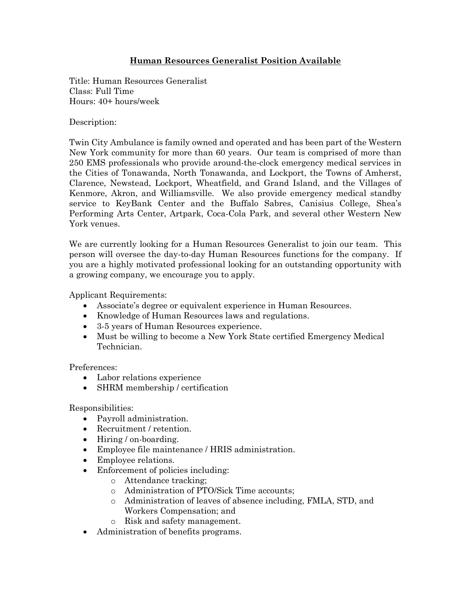## **Human Resources Generalist Position Available**

Title: Human Resources Generalist Class: Full Time Hours: 40+ hours/week

Description:

Twin City Ambulance is family owned and operated and has been part of the Western New York community for more than 60 years. Our team is comprised of more than 250 EMS professionals who provide around-the-clock emergency medical services in the Cities of Tonawanda, North Tonawanda, and Lockport, the Towns of Amherst, Clarence, Newstead, Lockport, Wheatfield, and Grand Island, and the Villages of Kenmore, Akron, and Williamsville. We also provide emergency medical standby service to KeyBank Center and the Buffalo Sabres, Canisius College, Shea's Performing Arts Center, Artpark, Coca-Cola Park, and several other Western New York venues.

We are currently looking for a Human Resources Generalist to join our team. This person will oversee the day-to-day Human Resources functions for the company. If you are a highly motivated professional looking for an outstanding opportunity with a growing company, we encourage you to apply.

Applicant Requirements:

- Associate's degree or equivalent experience in Human Resources.
- Knowledge of Human Resources laws and regulations.
- 3-5 years of Human Resources experience.
- Must be willing to become a New York State certified Emergency Medical Technician.

Preferences:

- Labor relations experience
- SHRM membership / certification

Responsibilities:

- Payroll administration.
- Recruitment / retention.
- Hiring / on-boarding.
- Employee file maintenance / HRIS administration.
- Employee relations.
- Enforcement of policies including:
	- o Attendance tracking;
	- o Administration of PTO/Sick Time accounts;
	- o Administration of leaves of absence including, FMLA, STD, and Workers Compensation; and
	- o Risk and safety management.
- Administration of benefits programs.